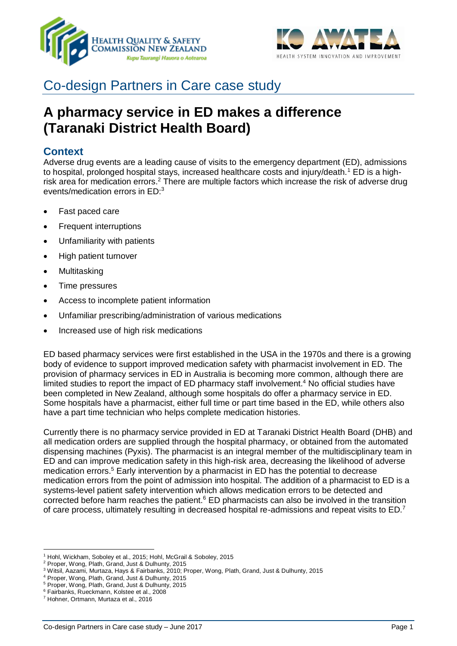



# Co-design Partners in Care case study

# **A pharmacy service in ED makes a difference (Taranaki District Health Board)**

## **Context**

Adverse drug events are a leading cause of visits to the emergency department (ED), admissions to hospital, prolonged hospital stays, increased healthcare costs and injury/death.<sup>1</sup> ED is a highrisk area for medication errors.<sup>2</sup> There are multiple factors which increase the risk of adverse drug events/medication errors in ED:<sup>3</sup>

- Fast paced care
- **Frequent interruptions**
- Unfamiliarity with patients
- High patient turnover
- Multitasking
- Time pressures
- Access to incomplete patient information
- Unfamiliar prescribing/administration of various medications
- Increased use of high risk medications

ED based pharmacy services were first established in the USA in the 1970s and there is a growing body of evidence to support improved medication safety with pharmacist involvement in ED. The provision of pharmacy services in ED in Australia is becoming more common, although there are limited studies to report the impact of ED pharmacy staff involvement.<sup>4</sup> No official studies have been completed in New Zealand, although some hospitals do offer a pharmacy service in ED. Some hospitals have a pharmacist, either full time or part time based in the ED, while others also have a part time technician who helps complete medication histories.

Currently there is no pharmacy service provided in ED at Taranaki District Health Board (DHB) and all medication orders are supplied through the hospital pharmacy, or obtained from the automated dispensing machines (Pyxis). The pharmacist is an integral member of the multidisciplinary team in ED and can improve medication safety in this high-risk area, decreasing the likelihood of adverse medication errors.<sup>5</sup> Early intervention by a pharmacist in ED has the potential to decrease medication errors from the point of admission into hospital. The addition of a pharmacist to ED is a systems-level patient safety intervention which allows medication errors to be detected and corrected before harm reaches the patient.<sup>6</sup> ED pharmacists can also be involved in the transition of care process, ultimately resulting in decreased hospital re-admissions and repeat visits to ED.<sup>7</sup>

 $\overline{a}$ <sup>1</sup> Hohl, Wickham, Soboley et al., 2015; Hohl, McGrail & Soboley, 2015

<sup>2</sup> Proper, Wong, Plath, Grand, Just & Dulhunty, 2015

<sup>3</sup> Witsil, Aazami, Murtaza, Hays & Fairbanks, 2010; Proper, Wong, Plath, Grand, Just & Dulhunty, 2015

<sup>4</sup> Proper, Wong, Plath, Grand, Just & Dulhunty, 2015

<sup>5</sup> Proper, Wong, Plath, Grand, Just & Dulhunty, 2015

<sup>6</sup> Fairbanks, Rueckmann, Kolstee et al., 2008

<sup>7</sup> Hohner, Ortmann, Murtaza et al., 2016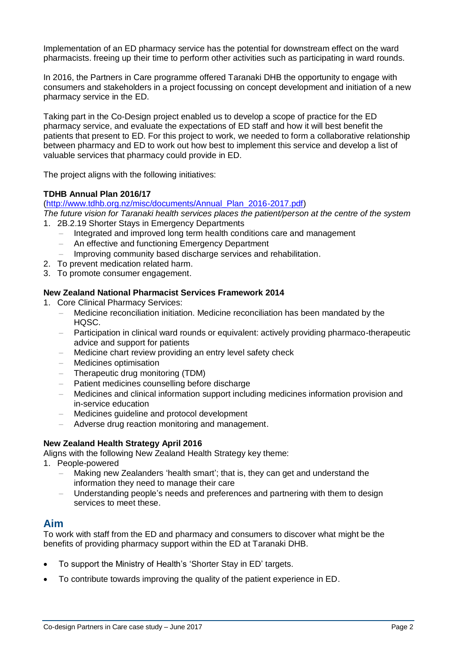Implementation of an ED pharmacy service has the potential for downstream effect on the ward pharmacists. freeing up their time to perform other activities such as participating in ward rounds.

In 2016, the Partners in Care programme offered Taranaki DHB the opportunity to engage with consumers and stakeholders in a project focussing on concept development and initiation of a new pharmacy service in the ED.

Taking part in the Co-Design project enabled us to develop a scope of practice for the ED pharmacy service, and evaluate the expectations of ED staff and how it will best benefit the patients that present to ED. For this project to work, we needed to form a collaborative relationship between pharmacy and ED to work out how best to implement this service and develop a list of valuable services that pharmacy could provide in ED.

The project aligns with the following initiatives:

#### **TDHB Annual Plan 2016/17**

[\(http://www.tdhb.org.nz/misc/documents/Annual\\_Plan\\_2016-2017.pdf\)](http://www.tdhb.org.nz/misc/documents/Annual_Plan_2016-2017.pdf)

*The future vision for Taranaki health services places the patient/person at the centre of the system* 1. 2B.2.19 Shorter Stays in Emergency Departments

- Integrated and improved long term health conditions care and management
- An effective and functioning Emergency Department
- Improving community based discharge services and rehabilitation.
- 2. To prevent medication related harm.
- 3. To promote consumer engagement.

#### **New Zealand National Pharmacist Services Framework 2014**

- 1. Core Clinical Pharmacy Services:
	- Medicine reconciliation initiation. Medicine reconciliation has been mandated by the HQSC.
	- Participation in clinical ward rounds or equivalent: actively providing pharmaco-therapeutic advice and support for patients
	- Medicine chart review providing an entry level safety check
	- Medicines optimisation
	- Therapeutic drug monitoring (TDM)
	- Patient medicines counselling before discharge
	- Medicines and clinical information support including medicines information provision and in-service education
	- Medicines guideline and protocol development
	- Adverse drug reaction monitoring and management.

#### **New Zealand Health Strategy April 2016**

Aligns with the following New Zealand Health Strategy key theme:

- 1. People-powered
	- Making new Zealanders 'health smart'; that is, they can get and understand the information they need to manage their care
	- Understanding people's needs and preferences and partnering with them to design services to meet these.

### **Aim**

To work with staff from the ED and pharmacy and consumers to discover what might be the benefits of providing pharmacy support within the ED at Taranaki DHB.

- To support the Ministry of Health's 'Shorter Stay in ED' targets.
- To contribute towards improving the quality of the patient experience in ED.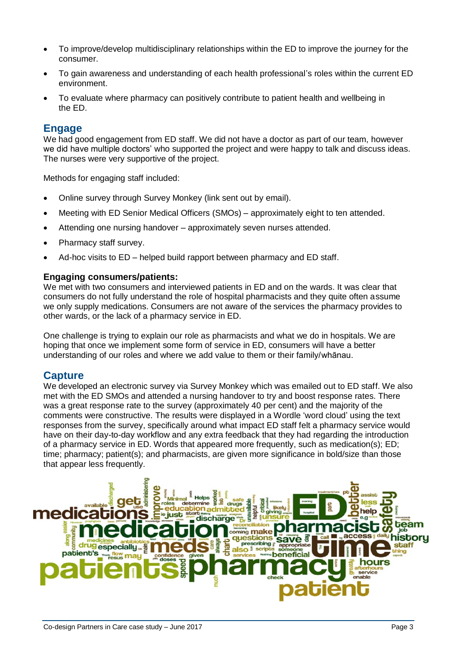- To improve/develop multidisciplinary relationships within the ED to improve the journey for the consumer.
- To gain awareness and understanding of each health professional's roles within the current ED environment.
- To evaluate where pharmacy can positively contribute to patient health and wellbeing in the ED.

## **Engage**

We had good engagement from ED staff. We did not have a doctor as part of our team, however we did have multiple doctors' who supported the project and were happy to talk and discuss ideas. The nurses were very supportive of the project.

Methods for engaging staff included:

- Online survey through Survey Monkey (link sent out by email).
- Meeting with ED Senior Medical Officers (SMOs) approximately eight to ten attended.
- Attending one nursing handover approximately seven nurses attended.
- Pharmacy staff survey.
- Ad-hoc visits to ED helped build rapport between pharmacy and ED staff.

#### **Engaging consumers/patients:**

We met with two consumers and interviewed patients in ED and on the wards. It was clear that consumers do not fully understand the role of hospital pharmacists and they quite often assume we only supply medications. Consumers are not aware of the services the pharmacy provides to other wards, or the lack of a pharmacy service in ED.

One challenge is trying to explain our role as pharmacists and what we do in hospitals. We are hoping that once we implement some form of service in ED, consumers will have a better understanding of our roles and where we add value to them or their family/whānau.

## **Capture**

We developed an electronic survey via Survey Monkey which was emailed out to ED staff. We also met with the ED SMOs and attended a nursing handover to try and boost response rates. There was a great response rate to the survey (approximately 40 per cent) and the majority of the comments were constructive. The results were displayed in a Wordle 'word cloud' using the text responses from the survey, specifically around what impact ED staff felt a pharmacy service would have on their day-to-day workflow and any extra feedback that they had regarding the introduction of a pharmacy service in ED. Words that appeared more frequently, such as medication(s); ED; time; pharmacy; patient(s); and pharmacists, are given more significance in bold/size than those that appear less frequently.

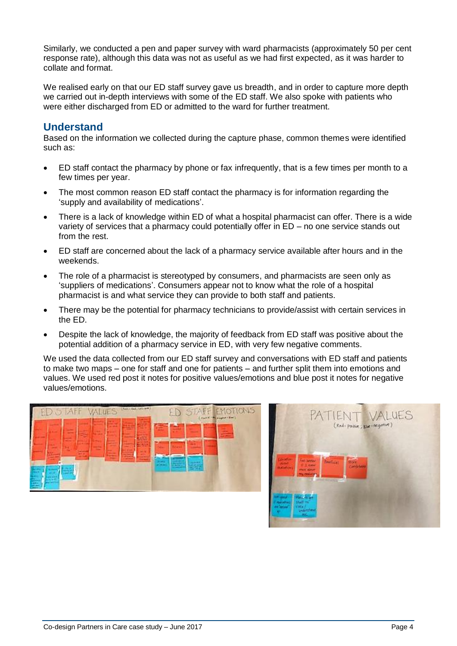Similarly, we conducted a pen and paper survey with ward pharmacists (approximately 50 per cent response rate), although this data was not as useful as we had first expected, as it was harder to collate and format.

We realised early on that our ED staff survey gave us breadth, and in order to capture more depth we carried out in-depth interviews with some of the ED staff. We also spoke with patients who were either discharged from ED or admitted to the ward for further treatment.

## **Understand**

Based on the information we collected during the capture phase, common themes were identified such as:

- ED staff contact the pharmacy by phone or fax infrequently, that is a few times per month to a few times per year.
- The most common reason ED staff contact the pharmacy is for information regarding the 'supply and availability of medications'.
- There is a lack of knowledge within ED of what a hospital pharmacist can offer. There is a wide variety of services that a pharmacy could potentially offer in ED – no one service stands out from the rest.
- ED staff are concerned about the lack of a pharmacy service available after hours and in the weekends.
- The role of a pharmacist is stereotyped by consumers, and pharmacists are seen only as 'suppliers of medications'. Consumers appear not to know what the role of a hospital pharmacist is and what service they can provide to both staff and patients.
- There may be the potential for pharmacy technicians to provide/assist with certain services in the ED.
- Despite the lack of knowledge, the majority of feedback from ED staff was positive about the potential addition of a pharmacy service in ED, with very few negative comments.

We used the data collected from our ED staff survey and conversations with ED staff and patients to make two maps – one for staff and one for patients – and further split them into emotions and values. We used red post it notes for positive values/emotions and blue post it notes for negative values/emotions.



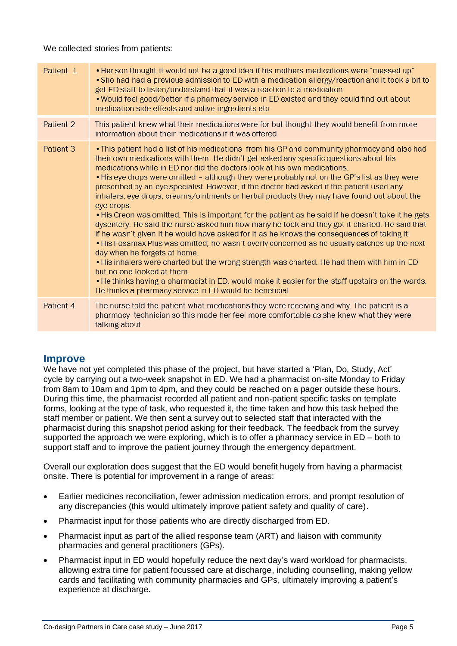We collected stories from patients:

| Patient 1 | • Her son thought it would not be a good idea if his mothers medications were "messed up"<br>• She had had a previous admission to ED with a medication allergy/reaction and it took a bit to<br>get ED staff to listen/understand that it was a reaction to a medication<br>. Would feel good/better if a pharmacy service in ED existed and they could find out about<br>medication side effects and active ingredients etc                                                                                                                                                                                                                                                                                                                                                                                                                                                                                                                                                                                                                                                                                                                                                                                                                                                                               |
|-----------|-------------------------------------------------------------------------------------------------------------------------------------------------------------------------------------------------------------------------------------------------------------------------------------------------------------------------------------------------------------------------------------------------------------------------------------------------------------------------------------------------------------------------------------------------------------------------------------------------------------------------------------------------------------------------------------------------------------------------------------------------------------------------------------------------------------------------------------------------------------------------------------------------------------------------------------------------------------------------------------------------------------------------------------------------------------------------------------------------------------------------------------------------------------------------------------------------------------------------------------------------------------------------------------------------------------|
| Patient 2 | This patient knew what their medications were for but thought they would benefit from more<br>information about their medications if it was offered                                                                                                                                                                                                                                                                                                                                                                                                                                                                                                                                                                                                                                                                                                                                                                                                                                                                                                                                                                                                                                                                                                                                                         |
| Patient 3 | . This patient had a list of his medications from his GP and community pharmacy and also had<br>their own medications with them. He didn't get asked any specific questions about his<br>medications while in ED nor did the doctors look at his own medications.<br>. His eye drops were omitted - although they were probably not on the GP's list as they were<br>prescribed by an eye specialist. However, if the doctor had asked if the patient used any<br>inhalers, eye drops, creams/ointments or herbal products they may have found out about the<br>eye drops.<br>. His Creon was omitted. This is important for the patient as he said if he doesn't take it he gets<br>dysentery. He said the nurse asked him how many he took and they got it charted. He said that<br>if he wasn't given it he would have asked for it as he knows the consequences of taking it!<br>. His Fosamax Plus was omitted; he wasn't overly concerned as he usually catches up the next<br>day when he forgets at home.<br>• His inhalers were charted but the wrong strength was charted. He had them with him in ED<br>but no one looked at them.<br>. He thinks having a pharmacist in ED, would make it easier for the staff upstairs on the wards.<br>He thinks a pharmacy service in ED would be beneficial |
| Patient 4 | The nurse told the patient what medications they were receiving and why. The patient is a<br>pharmacy technician so this made her feel more comfortable as she knew what they were<br>talking about                                                                                                                                                                                                                                                                                                                                                                                                                                                                                                                                                                                                                                                                                                                                                                                                                                                                                                                                                                                                                                                                                                         |

## **Improve**

We have not yet completed this phase of the project, but have started a 'Plan, Do, Study, Act' cycle by carrying out a two-week snapshot in ED. We had a pharmacist on-site Monday to Friday from 8am to 10am and 1pm to 4pm, and they could be reached on a pager outside these hours. During this time, the pharmacist recorded all patient and non-patient specific tasks on template forms, looking at the type of task, who requested it, the time taken and how this task helped the staff member or patient. We then sent a survey out to selected staff that interacted with the pharmacist during this snapshot period asking for their feedback. The feedback from the survey supported the approach we were exploring, which is to offer a pharmacy service in ED – both to support staff and to improve the patient journey through the emergency department.

Overall our exploration does suggest that the ED would benefit hugely from having a pharmacist onsite. There is potential for improvement in a range of areas:

- Earlier medicines reconciliation, fewer admission medication errors, and prompt resolution of any discrepancies (this would ultimately improve patient safety and quality of care).
- Pharmacist input for those patients who are directly discharged from ED.
- Pharmacist input as part of the allied response team (ART) and liaison with community pharmacies and general practitioners (GPs).
- Pharmacist input in ED would hopefully reduce the next day's ward workload for pharmacists, allowing extra time for patient focussed care at discharge, including counselling, making yellow cards and facilitating with community pharmacies and GPs, ultimately improving a patient's experience at discharge.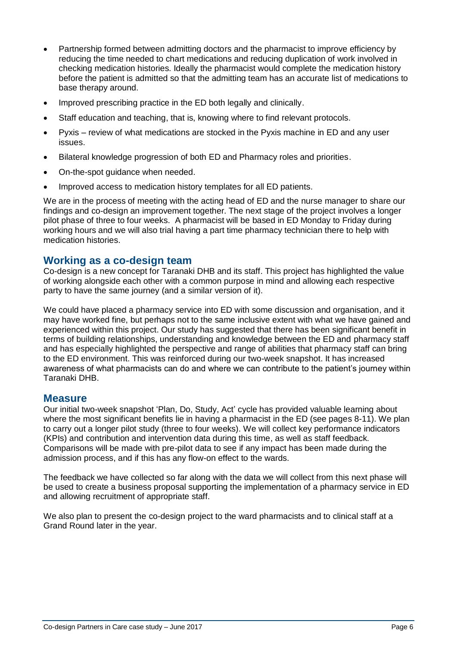- Partnership formed between admitting doctors and the pharmacist to improve efficiency by reducing the time needed to chart medications and reducing duplication of work involved in checking medication histories. Ideally the pharmacist would complete the medication history before the patient is admitted so that the admitting team has an accurate list of medications to base therapy around.
- Improved prescribing practice in the ED both legally and clinically.
- Staff education and teaching, that is, knowing where to find relevant protocols.
- Pyxis review of what medications are stocked in the Pyxis machine in ED and any user issues.
- Bilateral knowledge progression of both ED and Pharmacy roles and priorities.
- On-the-spot guidance when needed.
- Improved access to medication history templates for all ED patients.

We are in the process of meeting with the acting head of ED and the nurse manager to share our findings and co-design an improvement together. The next stage of the project involves a longer pilot phase of three to four weeks. A pharmacist will be based in ED Monday to Friday during working hours and we will also trial having a part time pharmacy technician there to help with medication histories.

## **Working as a co-design team**

Co-design is a new concept for Taranaki DHB and its staff. This project has highlighted the value of working alongside each other with a common purpose in mind and allowing each respective party to have the same journey (and a similar version of it).

We could have placed a pharmacy service into ED with some discussion and organisation, and it may have worked fine, but perhaps not to the same inclusive extent with what we have gained and experienced within this project. Our study has suggested that there has been significant benefit in terms of building relationships, understanding and knowledge between the ED and pharmacy staff and has especially highlighted the perspective and range of abilities that pharmacy staff can bring to the ED environment. This was reinforced during our two-week snapshot. It has increased awareness of what pharmacists can do and where we can contribute to the patient's journey within Taranaki DHB.

## **Measure**

Our initial two-week snapshot 'Plan, Do, Study, Act' cycle has provided valuable learning about where the most significant benefits lie in having a pharmacist in the ED (see pages 8-11). We plan to carry out a longer pilot study (three to four weeks). We will collect key performance indicators (KPIs) and contribution and intervention data during this time, as well as staff feedback. Comparisons will be made with pre-pilot data to see if any impact has been made during the admission process, and if this has any flow-on effect to the wards.

The feedback we have collected so far along with the data we will collect from this next phase will be used to create a business proposal supporting the implementation of a pharmacy service in ED and allowing recruitment of appropriate staff.

We also plan to present the co-design project to the ward pharmacists and to clinical staff at a Grand Round later in the year.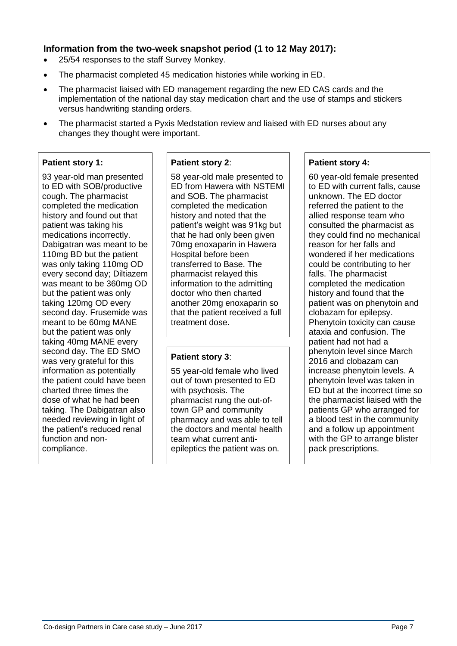## **Information from the two-week snapshot period (1 to 12 May 2017):**

- 25/54 responses to the staff Survey Monkey.
- The pharmacist completed 45 medication histories while working in ED.
- The pharmacist liaised with ED management regarding the new ED CAS cards and the implementation of the national day stay medication chart and the use of stamps and stickers versus handwriting standing orders.
- The pharmacist started a Pyxis Medstation review and liaised with ED nurses about any changes they thought were important.

#### **Patient story 1:**

93 year-old man presented to ED with SOB/productive cough. The pharmacist completed the medication history and found out that patient was taking his medications incorrectly. Dabigatran was meant to be 110mg BD but the patient was only taking 110mg OD every second day; Diltiazem was meant to be 360mg OD but the patient was only taking 120mg OD every second day. Frusemide was meant to be 60mg MANE but the patient was only taking 40mg MANE every second day. The ED SMO was very grateful for this information as potentially the patient could have been charted three times the dose of what he had been taking. The Dabigatran also needed reviewing in light of the patient's reduced renal function and noncompliance.

#### **Patient story 2**:

58 year-old male presented to ED from Hawera with NSTEMI and SOB. The pharmacist completed the medication history and noted that the patient's weight was 91kg but that he had only been given 70mg enoxaparin in Hawera Hospital before been transferred to Base. The pharmacist relayed this information to the admitting doctor who then charted another 20mg enoxaparin so that the patient received a full treatment dose.

### **Patient story 3**:

55 year-old female who lived out of town presented to ED with psychosis. The pharmacist rung the out-oftown GP and community pharmacy and was able to tell the doctors and mental health team what current antiepileptics the patient was on.

#### **Patient story 4:**

60 year-old female presented to ED with current falls, cause unknown. The ED doctor referred the patient to the allied response team who consulted the pharmacist as they could find no mechanical reason for her falls and wondered if her medications could be contributing to her falls. The pharmacist completed the medication history and found that the patient was on phenytoin and clobazam for epilepsy. Phenytoin toxicity can cause ataxia and confusion. The patient had not had a phenytoin level since March 2016 and clobazam can increase phenytoin levels. A phenytoin level was taken in ED but at the incorrect time so the pharmacist liaised with the patients GP who arranged for a blood test in the community and a follow up appointment with the GP to arrange blister pack prescriptions.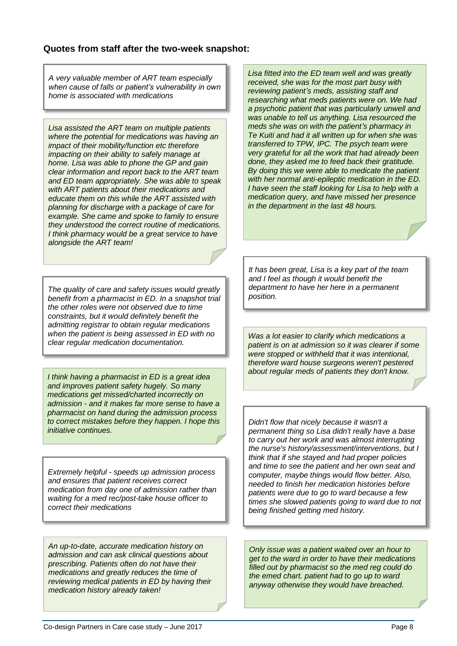### **Quotes from staff after the two-week snapshot:**

*A very valuable member of ART team especially when cause of falls or patient's vulnerability in own home is associated with medications*

*Lisa assisted the ART team on multiple patients where the potential for medications was having an impact of their mobility/function etc therefore impacting on their ability to safely manage at home. Lisa was able to phone the GP and gain clear information and report back to the ART team and ED team appropriately. She was able to speak with ART patients about their medications and educate them on this while the ART assisted with planning for discharge with a package of care for example. She came and spoke to family to ensure they understood the correct routine of medications. I think pharmacy would be a great service to have alongside the ART team!*

*The quality of care and safety issues would greatly benefit from a pharmacist in ED. In a snapshot trial the other roles were not observed due to time constraints, but it would definitely benefit the admitting registrar to obtain regular medications when the patient is being assessed in ED with no clear regular medication documentation.*

*I think having a pharmacist in ED is a great idea and improves patient safety hugely. So many medications get missed/charted incorrectly on admission - and it makes far more sense to have a pharmacist on hand during the admission process to correct mistakes before they happen. I hope this initiative continues.*

*Extremely helpful - speeds up admission process and ensures that patient receives correct medication from day one of admission rather than waiting for a med rec/post-take house officer to correct their medications*

*An up-to-date, accurate medication history on admission and can ask clinical questions about prescribing. Patients often do not have their medications and greatly reduces the time of reviewing medical patients in ED by having their medication history already taken!*

*Lisa fitted into the ED team well and was greatly received, she was for the most part busy with reviewing patient's meds, assisting staff and researching what meds patients were on. We had a psychotic patient that was particularly unwell and was unable to tell us anything. Lisa resourced the meds she was on with the patient's pharmacy in Te Kuiti and had it all written up for when she was transferred to TPW, IPC. The psych team were very grateful for all the work that had already been done, they asked me to feed back their gratitude. By doing this we were able to medicate the patient with her normal anti-epileptic medication in the ED. I have seen the staff looking for Lisa to help with a medication query, and have missed her presence in the department in the last 48 hours.*

*It has been great, Lisa is a key part of the team and I feel as though it would benefit the department to have her here in a permanent position.*

*Was a lot easier to clarify which medications a patient is on at admission so it was clearer if some were stopped or withheld that it was intentional, therefore ward house surgeons weren't pestered about regular meds of patients they don't know.*

*Didn't flow that nicely because it wasn't a permanent thing so Lisa didn't really have a base to carry out her work and was almost interrupting the nurse's history/assessment/interventions, but I think that if she stayed and had proper policies and time to see the patient and her own seat and computer, maybe things would flow better. Also, needed to finish her medication histories before patients were due to go to ward because a few times she slowed patients going to ward due to not being finished getting med history.*

*Only issue was a patient waited over an hour to get to the ward in order to have their medications filled out by pharmacist so the med reg could do the emed chart. patient had to go up to ward anyway otherwise they would have breached.*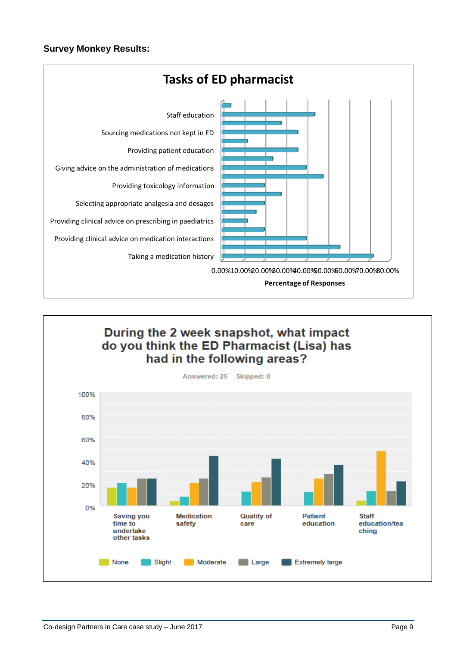